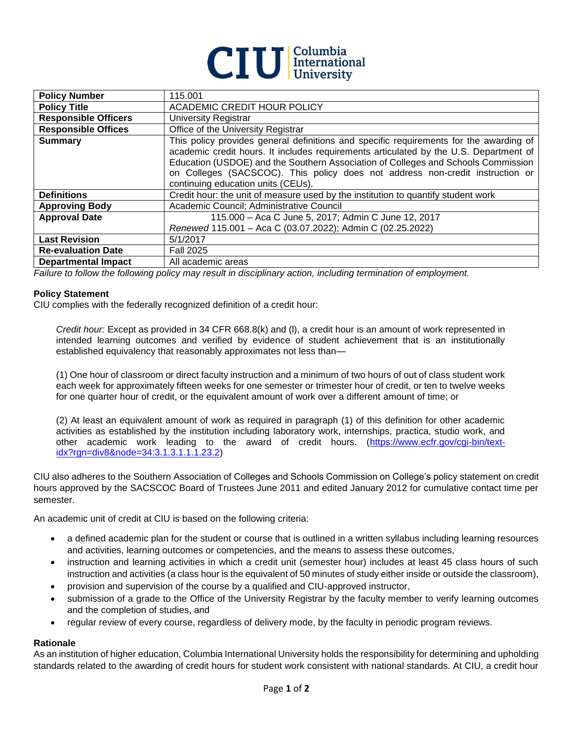

| <b>Policy Number</b>        | 115.001                                                                                                                                                                                                                                                                                                                                                                                     |
|-----------------------------|---------------------------------------------------------------------------------------------------------------------------------------------------------------------------------------------------------------------------------------------------------------------------------------------------------------------------------------------------------------------------------------------|
| <b>Policy Title</b>         | ACADEMIC CREDIT HOUR POLICY                                                                                                                                                                                                                                                                                                                                                                 |
| <b>Responsible Officers</b> | University Registrar                                                                                                                                                                                                                                                                                                                                                                        |
| <b>Responsible Offices</b>  | Office of the University Registrar                                                                                                                                                                                                                                                                                                                                                          |
| <b>Summary</b>              | This policy provides general definitions and specific requirements for the awarding of<br>academic credit hours. It includes requirements articulated by the U.S. Department of<br>Education (USDOE) and the Southern Association of Colleges and Schools Commission<br>on Colleges (SACSCOC). This policy does not address non-credit instruction or<br>continuing education units (CEUs). |
| <b>Definitions</b>          | Credit hour: the unit of measure used by the institution to quantify student work                                                                                                                                                                                                                                                                                                           |
| <b>Approving Body</b>       | Academic Council; Administrative Council                                                                                                                                                                                                                                                                                                                                                    |
| <b>Approval Date</b>        | 115.000 - Aca C June 5, 2017; Admin C June 12, 2017<br>Renewed 115.001 - Aca C (03.07.2022); Admin C (02.25.2022)                                                                                                                                                                                                                                                                           |
| <b>Last Revision</b>        | 5/1/2017                                                                                                                                                                                                                                                                                                                                                                                    |
| <b>Re-evaluation Date</b>   | <b>Fall 2025</b>                                                                                                                                                                                                                                                                                                                                                                            |
| <b>Departmental Impact</b>  | All academic areas                                                                                                                                                                                                                                                                                                                                                                          |

*Failure to follow the following policy may result in disciplinary action, including termination of employment.*

## **Policy Statement**

CIU complies with the federally recognized definition of a credit hour:

*Credit hour:* Except as provided in 34 CFR 668.8(k) and (l), a credit hour is an amount of work represented in intended learning outcomes and verified by evidence of student achievement that is an institutionally established equivalency that reasonably approximates not less than—

(1) One hour of classroom or direct faculty instruction and a minimum of two hours of out of class student work each week for approximately fifteen weeks for one semester or trimester hour of credit, or ten to twelve weeks for one quarter hour of credit, or the equivalent amount of work over a different amount of time; or

(2) At least an equivalent amount of work as required in paragraph (1) of this definition for other academic activities as established by the institution including laboratory work, internships, practica, studio work, and other academic work leading to the award of credit hours. [\(https://www.ecfr.gov/cgi-bin/text](https://www.ecfr.gov/cgi-bin/text-idx?rgn=div8&node=34:3.1.3.1.1.1.23.2)[idx?rgn=div8&node=34:3.1.3.1.1.1.23.2\)](https://www.ecfr.gov/cgi-bin/text-idx?rgn=div8&node=34:3.1.3.1.1.1.23.2)

CIU also adheres to the Southern Association of Colleges and Schools Commission on College's policy statement on credit hours approved by the SACSCOC Board of Trustees June 2011 and edited January 2012 for cumulative contact time per semester.

An academic unit of credit at CIU is based on the following criteria:

- a defined academic plan for the student or course that is outlined in a written syllabus including learning resources and activities, learning outcomes or competencies, and the means to assess these outcomes,
- instruction and learning activities in which a credit unit (semester hour) includes at least 45 class hours of such instruction and activities (a class hour is the equivalent of 50 minutes of study either inside or outside the classroom),
- provision and supervision of the course by a qualified and CIU-approved instructor,
- submission of a grade to the Office of the University Registrar by the faculty member to verify learning outcomes and the completion of studies, and
- regular review of every course, regardless of delivery mode, by the faculty in periodic program reviews.

## **Rationale**

As an institution of higher education, Columbia International University holds the responsibility for determining and upholding standards related to the awarding of credit hours for student work consistent with national standards. At CIU, a credit hour